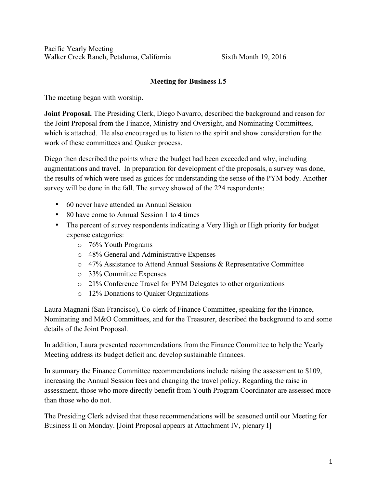Pacific Yearly Meeting Walker Creek Ranch, Petaluma, California Sixth Month 19, 2016

## Meeting for Business I.5

The meeting began with worship.

Joint Proposal. The Presiding Clerk, Diego Navarro, described the background and reason for the Joint Proposal from the Finance, Ministry and Oversight, and Nominating Committees, which is attached. He also encouraged us to listen to the spirit and show consideration for the work of these committees and Quaker process.

Diego then described the points where the budget had been exceeded and why, including augmentations and travel. In preparation for development of the proposals, a survey was done, the results of which were used as guides for understanding the sense of the PYM body. Another survey will be done in the fall. The survey showed of the 224 respondents:

- 60 never have attended an Annual Session
- 80 have come to Annual Session 1 to 4 times
- The percent of survey respondents indicating a Very High or High priority for budget expense categories:
	- o 76% Youth Programs
	- o 48% General and Administrative Expenses
	- o 47% Assistance to Attend Annual Sessions & Representative Committee
	- o 33% Committee Expenses
	- o 21% Conference Travel for PYM Delegates to other organizations
	- o 12% Donations to Quaker Organizations

Laura Magnani (San Francisco), Co-clerk of Finance Committee, speaking for the Finance, Nominating and M&O Committees, and for the Treasurer, described the background to and some details of the Joint Proposal.

In addition, Laura presented recommendations from the Finance Committee to help the Yearly Meeting address its budget deficit and develop sustainable finances.

In summary the Finance Committee recommendations include raising the assessment to \$109, increasing the Annual Session fees and changing the travel policy. Regarding the raise in assessment, those who more directly benefit from Youth Program Coordinator are assessed more than those who do not.

The Presiding Clerk advised that these recommendations will be seasoned until our Meeting for Business II on Monday. [Joint Proposal appears at Attachment IV, plenary I]